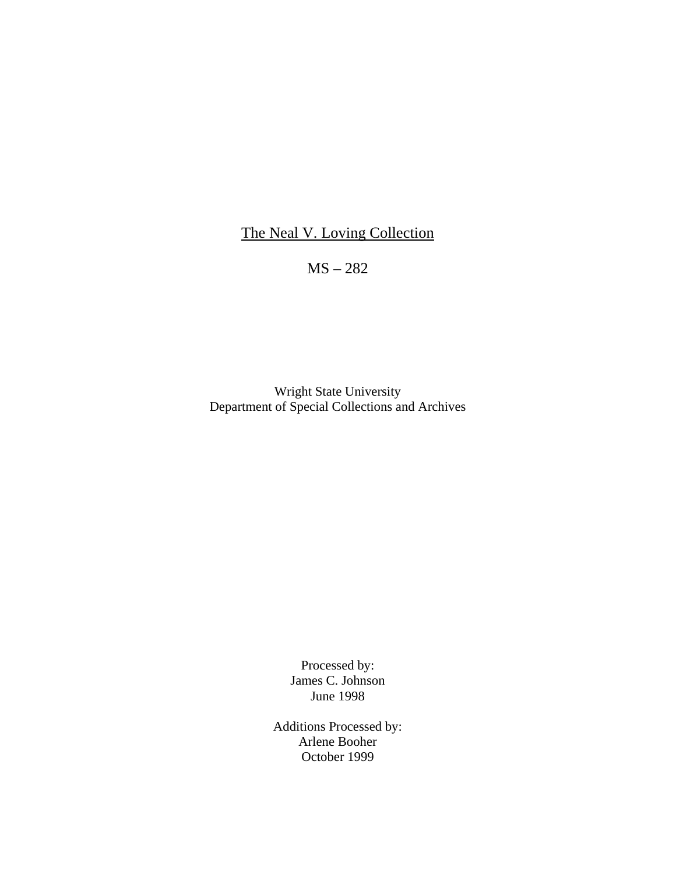## The Neal V. Loving Collection

MS – 282

Wright State University Department of Special Collections and Archives

> Processed by: James C. Johnson June 1998

Additions Processed by: Arlene Booher October 1999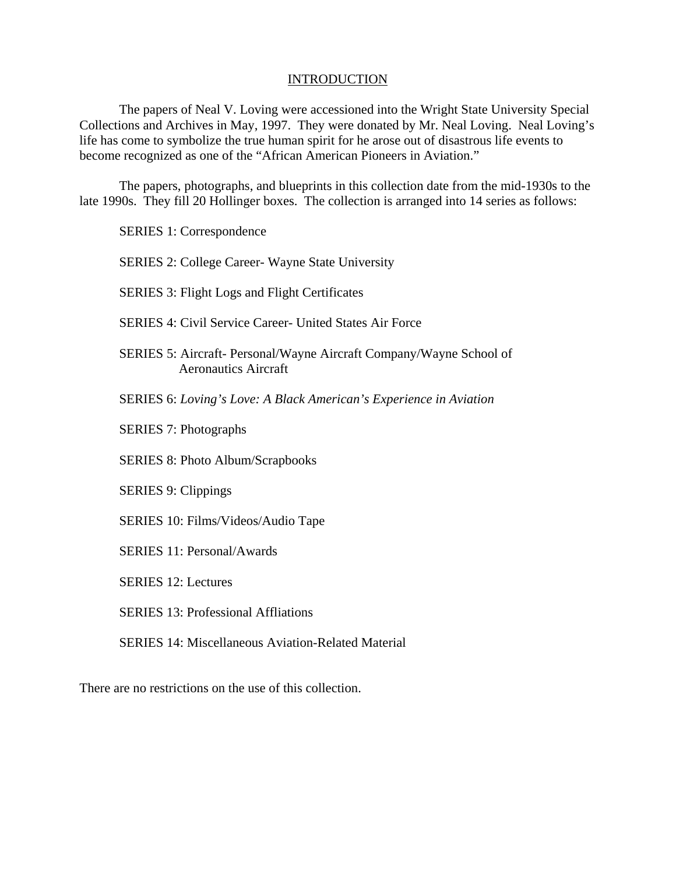## **INTRODUCTION**

The papers of Neal V. Loving were accessioned into the Wright State University Special Collections and Archives in May, 1997. They were donated by Mr. Neal Loving. Neal Loving's life has come to symbolize the true human spirit for he arose out of disastrous life events to become recognized as one of the "African American Pioneers in Aviation."

The papers, photographs, and blueprints in this collection date from the mid-1930s to the late 1990s. They fill 20 Hollinger boxes. The collection is arranged into 14 series as follows:

SERIES 1: Correspondence

SERIES 2: College Career- Wayne State University

SERIES 3: Flight Logs and Flight Certificates

SERIES 4: Civil Service Career- United States Air Force

- SERIES 5: Aircraft- Personal/Wayne Aircraft Company/Wayne School of Aeronautics Aircraft
- SERIES 6: *Loving's Love: A Black American's Experience in Aviation*
- SERIES 7: Photographs

SERIES 8: Photo Album/Scrapbooks

SERIES 9: Clippings

- SERIES 10: Films/Videos/Audio Tape
- SERIES 11: Personal/Awards

SERIES 12: Lectures

SERIES 13: Professional Affliations

SERIES 14: Miscellaneous Aviation-Related Material

There are no restrictions on the use of this collection.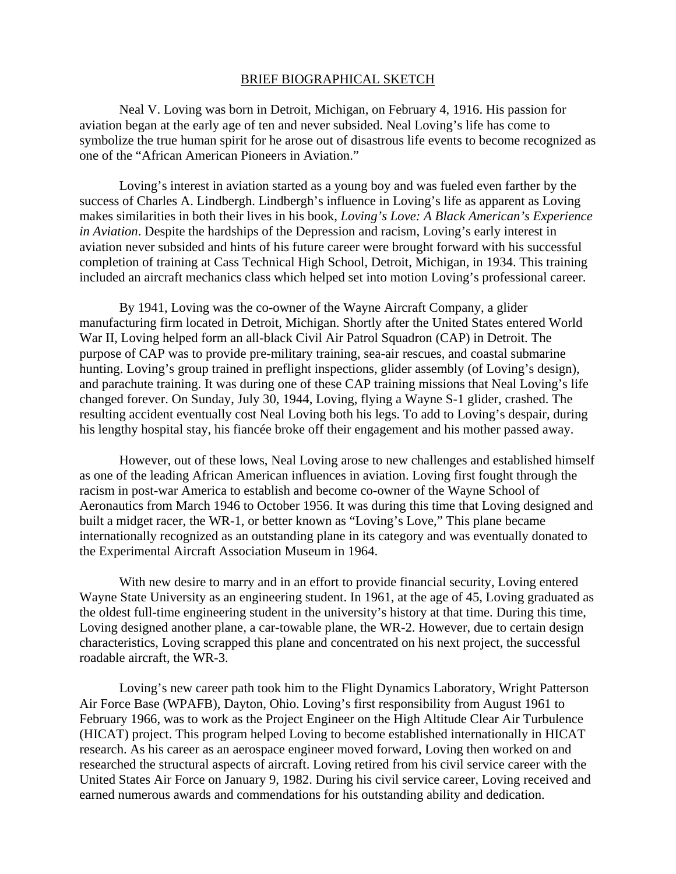### BRIEF BIOGRAPHICAL SKETCH

Neal V. Loving was born in Detroit, Michigan, on February 4, 1916. His passion for aviation began at the early age of ten and never subsided. Neal Loving's life has come to symbolize the true human spirit for he arose out of disastrous life events to become recognized as one of the "African American Pioneers in Aviation."

Loving's interest in aviation started as a young boy and was fueled even farther by the success of Charles A. Lindbergh. Lindbergh's influence in Loving's life as apparent as Loving makes similarities in both their lives in his book, *Loving's Love: A Black American's Experience in Aviation*. Despite the hardships of the Depression and racism, Loving's early interest in aviation never subsided and hints of his future career were brought forward with his successful completion of training at Cass Technical High School, Detroit, Michigan, in 1934. This training included an aircraft mechanics class which helped set into motion Loving's professional career.

By 1941, Loving was the co-owner of the Wayne Aircraft Company, a glider manufacturing firm located in Detroit, Michigan. Shortly after the United States entered World War II, Loving helped form an all-black Civil Air Patrol Squadron (CAP) in Detroit. The purpose of CAP was to provide pre-military training, sea-air rescues, and coastal submarine hunting. Loving's group trained in preflight inspections, glider assembly (of Loving's design), and parachute training. It was during one of these CAP training missions that Neal Loving's life changed forever. On Sunday, July 30, 1944, Loving, flying a Wayne S-1 glider, crashed. The resulting accident eventually cost Neal Loving both his legs. To add to Loving's despair, during his lengthy hospital stay, his fiancée broke off their engagement and his mother passed away.

However, out of these lows, Neal Loving arose to new challenges and established himself as one of the leading African American influences in aviation. Loving first fought through the racism in post-war America to establish and become co-owner of the Wayne School of Aeronautics from March 1946 to October 1956. It was during this time that Loving designed and built a midget racer, the WR-1, or better known as "Loving's Love," This plane became internationally recognized as an outstanding plane in its category and was eventually donated to the Experimental Aircraft Association Museum in 1964.

With new desire to marry and in an effort to provide financial security, Loving entered Wayne State University as an engineering student. In 1961, at the age of 45, Loving graduated as the oldest full-time engineering student in the university's history at that time. During this time, Loving designed another plane, a car-towable plane, the WR-2. However, due to certain design characteristics, Loving scrapped this plane and concentrated on his next project, the successful roadable aircraft, the WR-3.

Loving's new career path took him to the Flight Dynamics Laboratory, Wright Patterson Air Force Base (WPAFB), Dayton, Ohio. Loving's first responsibility from August 1961 to February 1966, was to work as the Project Engineer on the High Altitude Clear Air Turbulence (HICAT) project. This program helped Loving to become established internationally in HICAT research. As his career as an aerospace engineer moved forward, Loving then worked on and researched the structural aspects of aircraft. Loving retired from his civil service career with the United States Air Force on January 9, 1982. During his civil service career, Loving received and earned numerous awards and commendations for his outstanding ability and dedication.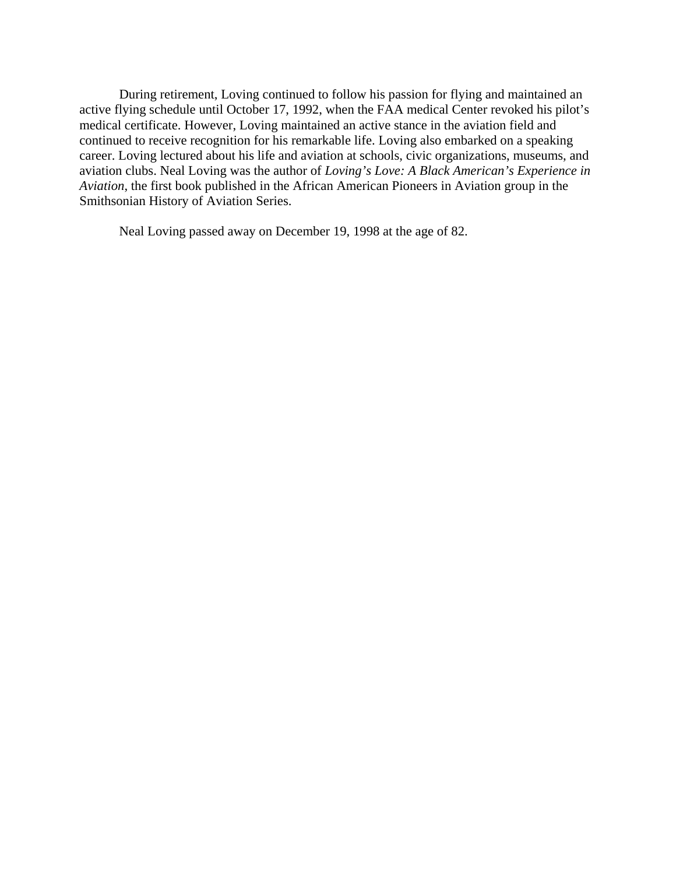During retirement, Loving continued to follow his passion for flying and maintained an active flying schedule until October 17, 1992, when the FAA medical Center revoked his pilot's medical certificate. However, Loving maintained an active stance in the aviation field and continued to receive recognition for his remarkable life. Loving also embarked on a speaking career. Loving lectured about his life and aviation at schools, civic organizations, museums, and aviation clubs. Neal Loving was the author of *Loving's Love: A Black American's Experience in Aviation*, the first book published in the African American Pioneers in Aviation group in the Smithsonian History of Aviation Series.

Neal Loving passed away on December 19, 1998 at the age of 82.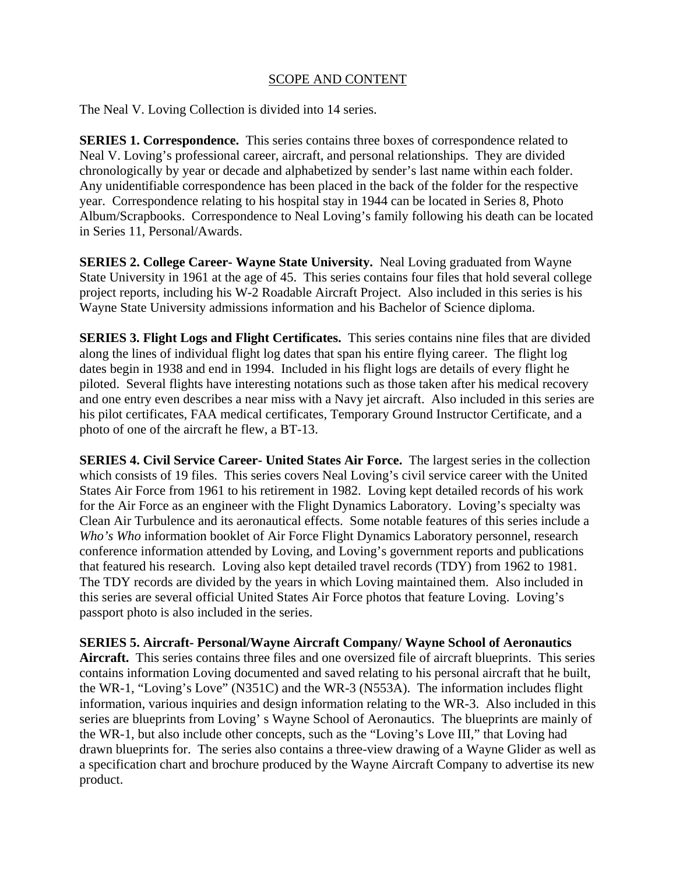## SCOPE AND CONTENT

The Neal V. Loving Collection is divided into 14 series.

**SERIES 1. Correspondence.** This series contains three boxes of correspondence related to Neal V. Loving's professional career, aircraft, and personal relationships. They are divided chronologically by year or decade and alphabetized by sender's last name within each folder. Any unidentifiable correspondence has been placed in the back of the folder for the respective year. Correspondence relating to his hospital stay in 1944 can be located in Series 8, Photo Album/Scrapbooks. Correspondence to Neal Loving's family following his death can be located in Series 11, Personal/Awards.

**SERIES 2. College Career- Wayne State University.** Neal Loving graduated from Wayne State University in 1961 at the age of 45. This series contains four files that hold several college project reports, including his W-2 Roadable Aircraft Project. Also included in this series is his Wayne State University admissions information and his Bachelor of Science diploma.

**SERIES 3. Flight Logs and Flight Certificates.** This series contains nine files that are divided along the lines of individual flight log dates that span his entire flying career. The flight log dates begin in 1938 and end in 1994. Included in his flight logs are details of every flight he piloted. Several flights have interesting notations such as those taken after his medical recovery and one entry even describes a near miss with a Navy jet aircraft. Also included in this series are his pilot certificates, FAA medical certificates, Temporary Ground Instructor Certificate, and a photo of one of the aircraft he flew, a BT-13.

**SERIES 4. Civil Service Career- United States Air Force.** The largest series in the collection which consists of 19 files. This series covers Neal Loving's civil service career with the United States Air Force from 1961 to his retirement in 1982. Loving kept detailed records of his work for the Air Force as an engineer with the Flight Dynamics Laboratory. Loving's specialty was Clean Air Turbulence and its aeronautical effects. Some notable features of this series include a *Who's Who* information booklet of Air Force Flight Dynamics Laboratory personnel, research conference information attended by Loving, and Loving's government reports and publications that featured his research. Loving also kept detailed travel records (TDY) from 1962 to 1981. The TDY records are divided by the years in which Loving maintained them. Also included in this series are several official United States Air Force photos that feature Loving. Loving's passport photo is also included in the series.

**SERIES 5. Aircraft- Personal/Wayne Aircraft Company/ Wayne School of Aeronautics Aircraft.** This series contains three files and one oversized file of aircraft blueprints. This series contains information Loving documented and saved relating to his personal aircraft that he built, the WR-1, "Loving's Love" (N351C) and the WR-3 (N553A). The information includes flight information, various inquiries and design information relating to the WR-3. Also included in this series are blueprints from Loving' s Wayne School of Aeronautics. The blueprints are mainly of the WR-1, but also include other concepts, such as the "Loving's Love III," that Loving had drawn blueprints for. The series also contains a three-view drawing of a Wayne Glider as well as a specification chart and brochure produced by the Wayne Aircraft Company to advertise its new product.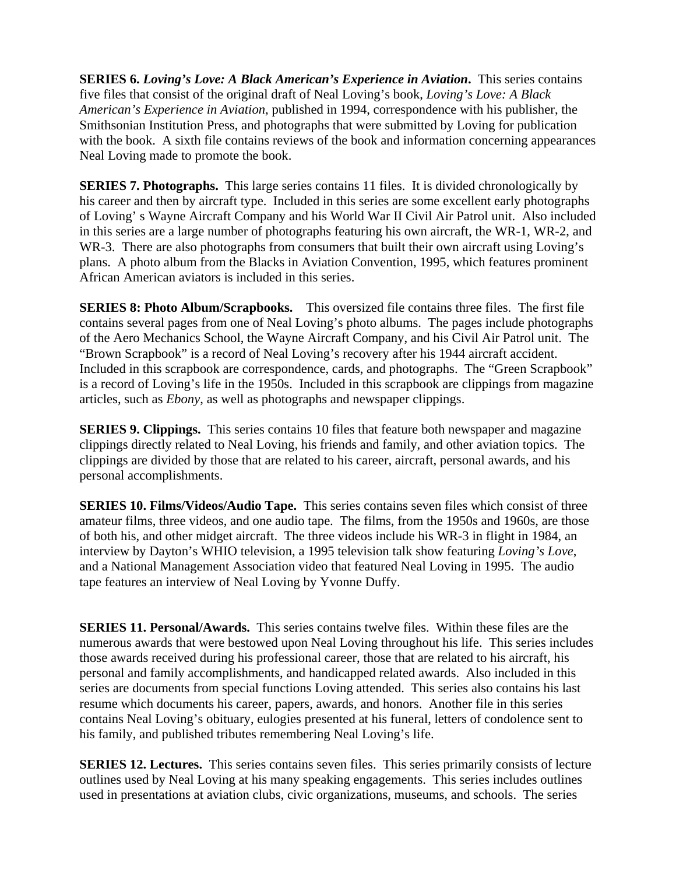**SERIES 6.** *Loving's Love: A Black American's Experience in Aviation***.** This series contains five files that consist of the original draft of Neal Loving's book, *Loving's Love: A Black American's Experience in Aviation*, published in 1994, correspondence with his publisher, the Smithsonian Institution Press, and photographs that were submitted by Loving for publication with the book. A sixth file contains reviews of the book and information concerning appearances Neal Loving made to promote the book.

**SERIES 7. Photographs.** This large series contains 11 files. It is divided chronologically by his career and then by aircraft type. Included in this series are some excellent early photographs of Loving' s Wayne Aircraft Company and his World War II Civil Air Patrol unit. Also included in this series are a large number of photographs featuring his own aircraft, the WR-1, WR-2, and WR-3. There are also photographs from consumers that built their own aircraft using Loving's plans. A photo album from the Blacks in Aviation Convention, 1995, which features prominent African American aviators is included in this series.

**SERIES 8: Photo Album/Scrapbooks.** This oversized file contains three files. The first file contains several pages from one of Neal Loving's photo albums. The pages include photographs of the Aero Mechanics School, the Wayne Aircraft Company, and his Civil Air Patrol unit. The "Brown Scrapbook" is a record of Neal Loving's recovery after his 1944 aircraft accident. Included in this scrapbook are correspondence, cards, and photographs. The "Green Scrapbook" is a record of Loving's life in the 1950s. Included in this scrapbook are clippings from magazine articles, such as *Ebony*, as well as photographs and newspaper clippings.

**SERIES 9. Clippings.** This series contains 10 files that feature both newspaper and magazine clippings directly related to Neal Loving, his friends and family, and other aviation topics. The clippings are divided by those that are related to his career, aircraft, personal awards, and his personal accomplishments.

**SERIES 10. Films/Videos/Audio Tape.** This series contains seven files which consist of three amateur films, three videos, and one audio tape. The films, from the 1950s and 1960s, are those of both his, and other midget aircraft. The three videos include his WR-3 in flight in 1984, an interview by Dayton's WHIO television, a 1995 television talk show featuring *Loving's Love*, and a National Management Association video that featured Neal Loving in 1995. The audio tape features an interview of Neal Loving by Yvonne Duffy.

**SERIES 11. Personal/Awards.** This series contains twelve files. Within these files are the numerous awards that were bestowed upon Neal Loving throughout his life. This series includes those awards received during his professional career, those that are related to his aircraft, his personal and family accomplishments, and handicapped related awards. Also included in this series are documents from special functions Loving attended. This series also contains his last resume which documents his career, papers, awards, and honors. Another file in this series contains Neal Loving's obituary, eulogies presented at his funeral, letters of condolence sent to his family, and published tributes remembering Neal Loving's life.

**SERIES 12. Lectures.** This series contains seven files. This series primarily consists of lecture outlines used by Neal Loving at his many speaking engagements. This series includes outlines used in presentations at aviation clubs, civic organizations, museums, and schools. The series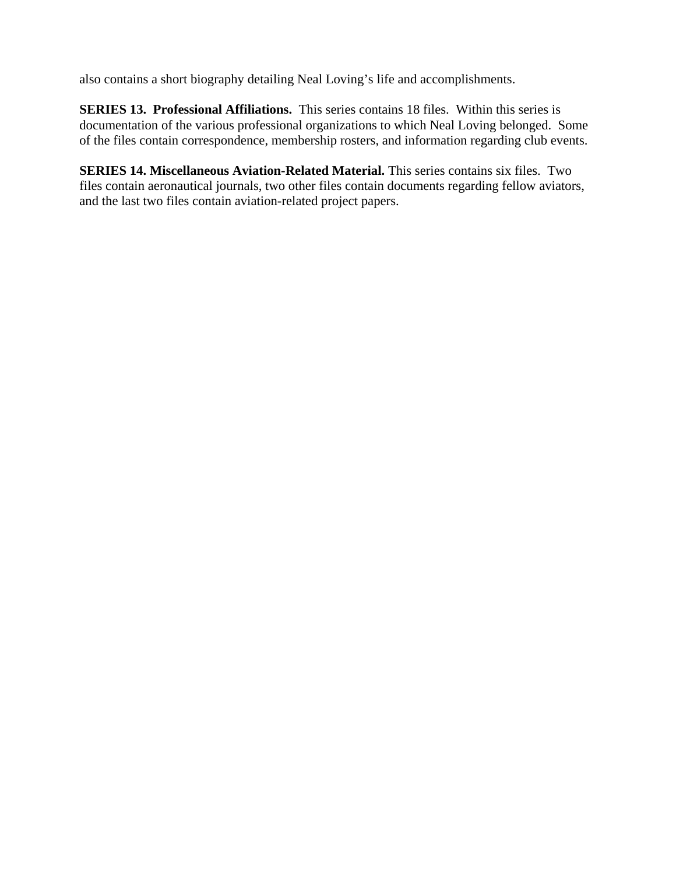also contains a short biography detailing Neal Loving's life and accomplishments.

**SERIES 13. Professional Affiliations.** This series contains 18 files. Within this series is documentation of the various professional organizations to which Neal Loving belonged. Some of the files contain correspondence, membership rosters, and information regarding club events.

**SERIES 14. Miscellaneous Aviation-Related Material.** This series contains six files. Two files contain aeronautical journals, two other files contain documents regarding fellow aviators, and the last two files contain aviation-related project papers.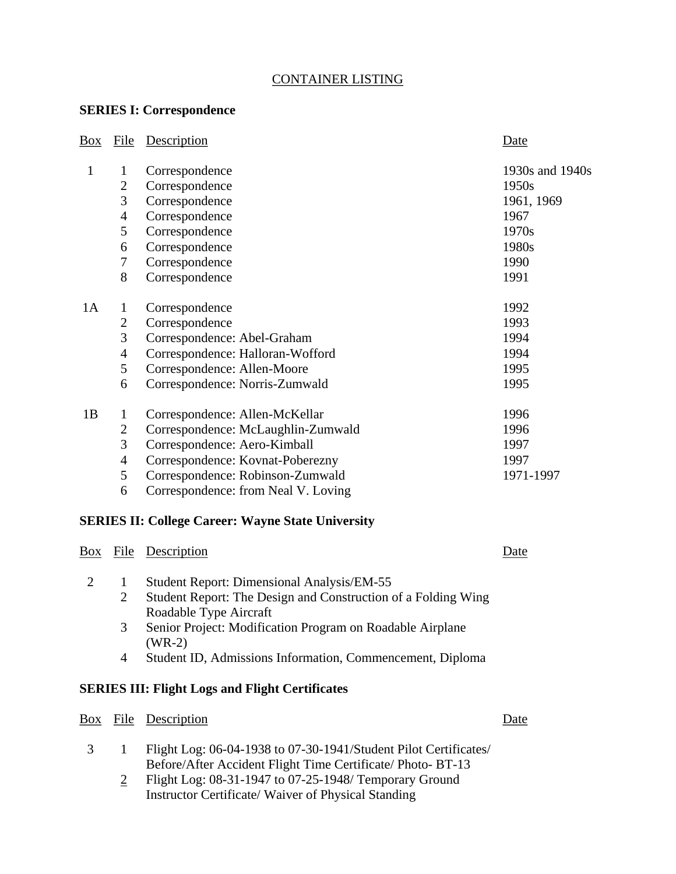## CONTAINER LISTING

## **SERIES I: Correspondence**

| Box | File           | Description                         | Date            |
|-----|----------------|-------------------------------------|-----------------|
| 1   | 1              | Correspondence                      | 1930s and 1940s |
|     | $\overline{2}$ | Correspondence                      | 1950s           |
|     | 3              | Correspondence                      | 1961, 1969      |
|     | 4              | Correspondence                      | 1967            |
|     | 5              | Correspondence                      | 1970s           |
|     | 6              | Correspondence                      | 1980s           |
|     | 7              | Correspondence                      | 1990            |
|     | 8              | Correspondence                      | 1991            |
| 1A  | 1              | Correspondence                      | 1992            |
|     | $\overline{2}$ | Correspondence                      | 1993            |
|     | 3              | Correspondence: Abel-Graham         | 1994            |
|     | $\overline{4}$ | Correspondence: Halloran-Wofford    | 1994            |
|     | 5              | Correspondence: Allen-Moore         | 1995            |
|     | 6              | Correspondence: Norris-Zumwald      | 1995            |
| 1B  | 1              | Correspondence: Allen-McKellar      | 1996            |
|     | $\overline{c}$ | Correspondence: McLaughlin-Zumwald  | 1996            |
|     | 3              | Correspondence: Aero-Kimball        | 1997            |
|     | $\overline{4}$ | Correspondence: Kovnat-Poberezny    | 1997            |
|     | 5              | Correspondence: Robinson-Zumwald    | 1971-1997       |
|     | 6              | Correspondence: from Neal V. Loving |                 |

## **SERIES II: College Career: Wayne State University**

# Box File Description Date 2 1 Student Report: Dimensional Analysis/EM-55 2 Student Report: The Design and Construction of a Folding Wing Roadable Type Aircraft 3 Senior Project: Modification Program on Roadable Airplane (WR-2) 4 Student ID, Admissions Information, Commencement, Diploma **SERIES III: Flight Logs and Flight Certificates**  Box File Description Date

- 3 1 Flight Log: 06-04-1938 to 07-30-1941/Student Pilot Certificates/ Before/After Accident Flight Time Certificate/ Photo- BT-13
	- 2 Flight Log: 08-31-1947 to 07-25-1948/ Temporary Ground Instructor Certificate/ Waiver of Physical Standing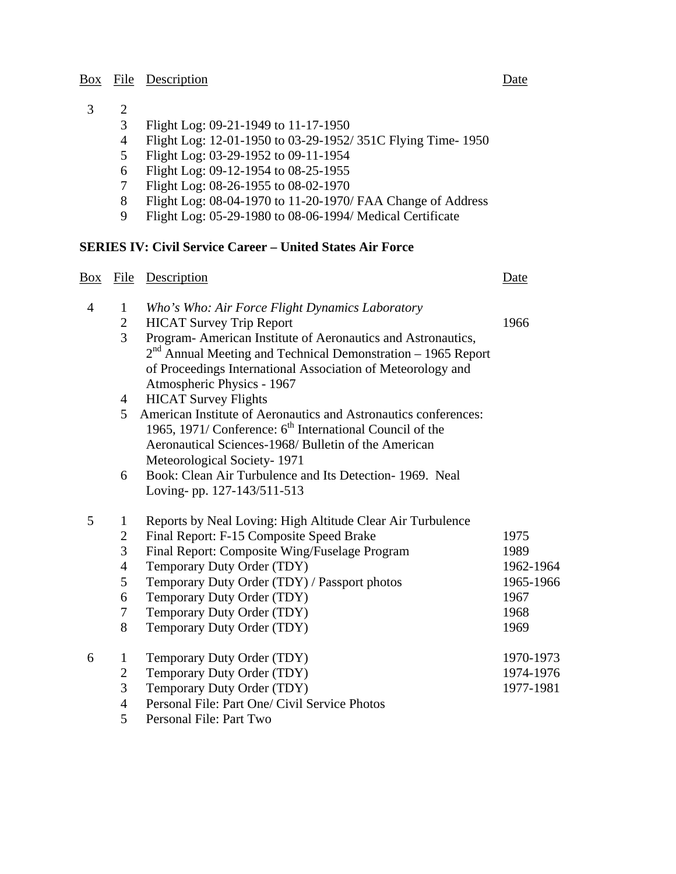## Box File Description Date

# $\begin{array}{cc} 3 & 2 \\ 3 & 3 \end{array}$

- 3 Flight Log: 09-21-1949 to 11-17-1950
- 4 Flight Log: 12-01-1950 to 03-29-1952/ 351C Flying Time- 1950
- 5 Flight Log: 03-29-1952 to 09-11-1954
- 6 Flight Log: 09-12-1954 to 08-25-1955
- 7 Flight Log: 08-26-1955 to 08-02-1970<br>8 Flight Log: 08-04-1970 to 11-20-1970/
- 8 Flight Log: 08-04-1970 to 11-20-1970/ FAA Change of Address
- 9 Flight Log: 05-29-1980 to 08-06-1994/ Medical Certificate

## **SERIES IV: Civil Service Career – United States Air Force**

| Box            | <b>File</b>    | Description                                                          | Date      |
|----------------|----------------|----------------------------------------------------------------------|-----------|
| $\overline{4}$ | 1              | Who's Who: Air Force Flight Dynamics Laboratory                      |           |
|                | 2              | <b>HICAT Survey Trip Report</b>                                      | 1966      |
|                | 3              | Program- American Institute of Aeronautics and Astronautics,         |           |
|                |                | $2nd$ Annual Meeting and Technical Demonstration – 1965 Report       |           |
|                |                | of Proceedings International Association of Meteorology and          |           |
|                |                | Atmospheric Physics - 1967                                           |           |
|                | $\overline{4}$ | <b>HICAT Survey Flights</b>                                          |           |
|                | 5              | American Institute of Aeronautics and Astronautics conferences:      |           |
|                |                | 1965, 1971/ Conference: 6 <sup>th</sup> International Council of the |           |
|                |                | Aeronautical Sciences-1968/ Bulletin of the American                 |           |
|                |                | Meteorological Society-1971                                          |           |
|                | 6              | Book: Clean Air Turbulence and Its Detection-1969. Neal              |           |
|                |                | Loving-pp. 127-143/511-513                                           |           |
| 5              | 1              | Reports by Neal Loving: High Altitude Clear Air Turbulence           |           |
|                | $\overline{c}$ | Final Report: F-15 Composite Speed Brake                             | 1975      |
|                | 3              | Final Report: Composite Wing/Fuselage Program                        | 1989      |
|                | $\overline{4}$ | Temporary Duty Order (TDY)                                           | 1962-1964 |
|                | 5              | Temporary Duty Order (TDY) / Passport photos                         | 1965-1966 |
|                | 6              | Temporary Duty Order (TDY)                                           | 1967      |
|                | 7              | Temporary Duty Order (TDY)                                           | 1968      |
|                | 8              | Temporary Duty Order (TDY)                                           | 1969      |
| 6              | $\mathbf{1}$   | Temporary Duty Order (TDY)                                           | 1970-1973 |
|                | $\overline{c}$ | Temporary Duty Order (TDY)                                           | 1974-1976 |
|                | 3              | Temporary Duty Order (TDY)                                           | 1977-1981 |
|                | $\overline{4}$ | Personal File: Part One/ Civil Service Photos                        |           |
|                | 5              | Personal File: Part Two                                              |           |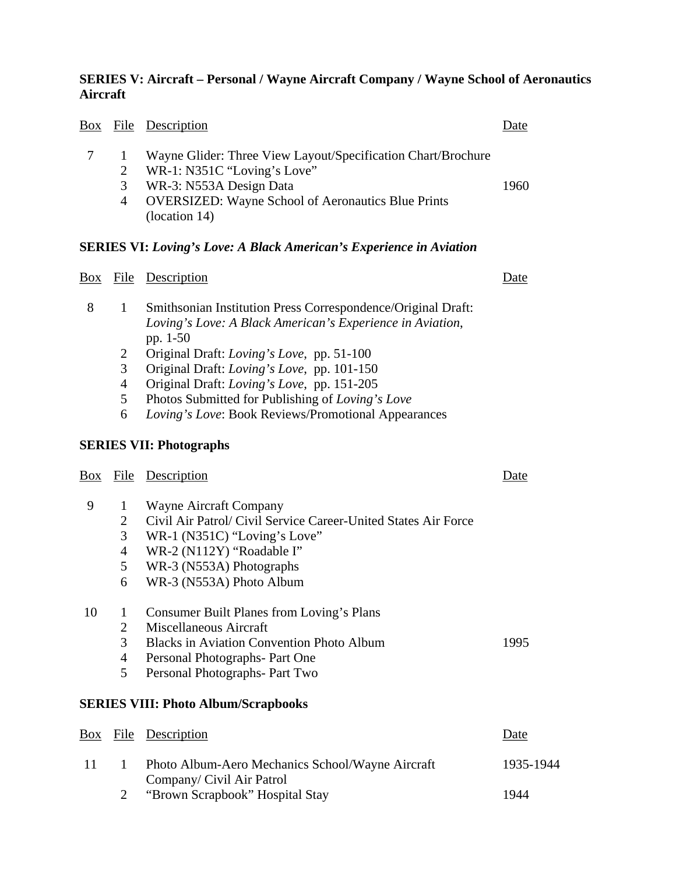## **SERIES V: Aircraft – Personal / Wayne Aircraft Company / Wayne School of Aeronautics Aircraft**

| Box            | <u>File</u>         | <b>Description</b>                                                                          | Date      |
|----------------|---------------------|---------------------------------------------------------------------------------------------|-----------|
| 7              | 1<br>$\overline{2}$ | Wayne Glider: Three View Layout/Specification Chart/Brochure<br>WR-1: N351C "Loving's Love" |           |
|                | 3                   | WR-3: N553A Design Data                                                                     | 1960      |
|                | $\overline{4}$      | <b>OVERSIZED:</b> Wayne School of Aeronautics Blue Prints<br>(location 14)                  |           |
|                |                     | <b>SERIES VI: Loving's Love: A Black American's Experience in Aviation</b>                  |           |
| $\frac{Box}{}$ | <u>File</u>         | Description                                                                                 | Date      |
| 8              | $\mathbf{1}$        | Smithsonian Institution Press Correspondence/Original Draft:                                |           |
|                |                     | Loving's Love: A Black American's Experience in Aviation,<br>pp. 1-50                       |           |
|                | $\overline{2}$      | Original Draft: Loving's Love, pp. 51-100                                                   |           |
|                | 3                   | Original Draft: Loving's Love, pp. 101-150                                                  |           |
|                | $\overline{4}$      | Original Draft: Loving's Love, pp. 151-205                                                  |           |
|                | 5                   | Photos Submitted for Publishing of Loving's Love                                            |           |
|                | 6                   | Loving's Love: Book Reviews/Promotional Appearances                                         |           |
|                |                     | <b>SERIES VII: Photographs</b>                                                              |           |
| Box            |                     | File Description                                                                            | Date      |
| 9              | $\mathbf{1}$        | Wayne Aircraft Company                                                                      |           |
|                | 2                   | Civil Air Patrol/ Civil Service Career-United States Air Force                              |           |
|                | 3                   | WR-1 (N351C) "Loving's Love"                                                                |           |
|                | $\overline{4}$      | WR-2 (N112Y) "Roadable I"                                                                   |           |
|                | 5                   | WR-3 (N553A) Photographs                                                                    |           |
|                | 6                   | WR-3 (N553A) Photo Album                                                                    |           |
| 10             | $\vert 1 \vert$     | Consumer Built Planes from Loving's Plans                                                   |           |
|                | $\overline{2}$      | Miscellaneous Aircraft                                                                      |           |
|                | 3                   | <b>Blacks in Aviation Convention Photo Album</b>                                            | 1995      |
|                | $\overline{4}$      | Personal Photographs- Part One                                                              |           |
|                | 5                   | Personal Photographs- Part Two                                                              |           |
|                |                     | <b>SERIES VIII: Photo Album/Scrapbooks</b>                                                  |           |
| Box            | File                | Description                                                                                 | Date      |
| 11             | $\mathbf{1}$        | Photo Album-Aero Mechanics School/Wayne Aircraft<br>Company/ Civil Air Patrol               | 1935-1944 |

2 "Brown Scrapbook" Hospital Stay 1944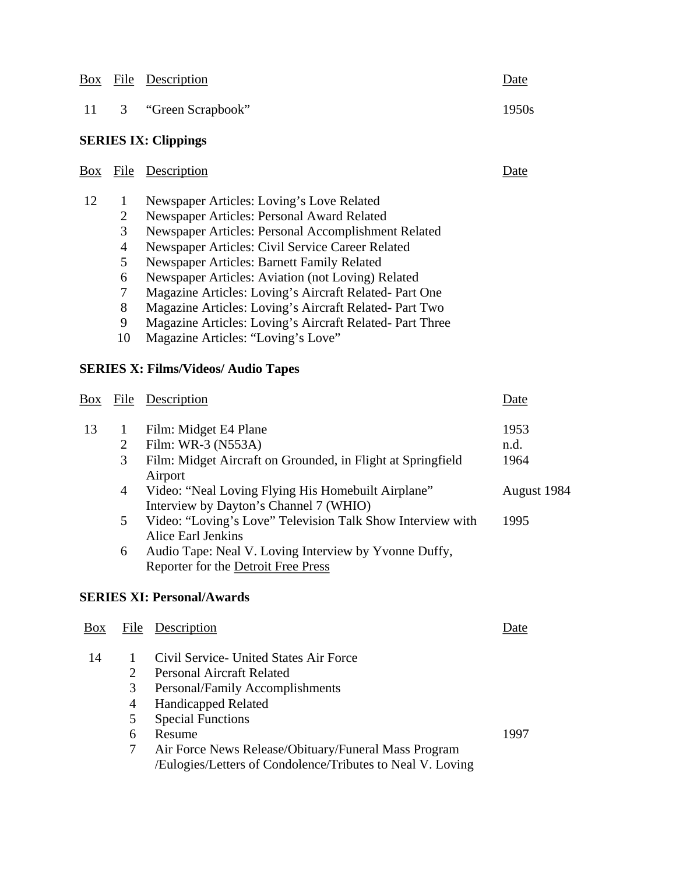| Box |                                                                                           | File Description                                                                                                                                                                                                                                                                                                                                                                                                                                                                                                            | Date                 |
|-----|-------------------------------------------------------------------------------------------|-----------------------------------------------------------------------------------------------------------------------------------------------------------------------------------------------------------------------------------------------------------------------------------------------------------------------------------------------------------------------------------------------------------------------------------------------------------------------------------------------------------------------------|----------------------|
| 11  | $\mathfrak{Z}$                                                                            | "Green Scrapbook"                                                                                                                                                                                                                                                                                                                                                                                                                                                                                                           | 1950s                |
|     |                                                                                           | <b>SERIES IX: Clippings</b>                                                                                                                                                                                                                                                                                                                                                                                                                                                                                                 |                      |
| Box |                                                                                           | File Description                                                                                                                                                                                                                                                                                                                                                                                                                                                                                                            | Date                 |
| 12  | $\mathbf{1}$<br>$\overline{2}$<br>3<br>$\overline{4}$<br>5<br>6<br>$\tau$<br>8<br>9<br>10 | Newspaper Articles: Loving's Love Related<br>Newspaper Articles: Personal Award Related<br>Newspaper Articles: Personal Accomplishment Related<br>Newspaper Articles: Civil Service Career Related<br>Newspaper Articles: Barnett Family Related<br>Newspaper Articles: Aviation (not Loving) Related<br>Magazine Articles: Loving's Aircraft Related- Part One<br>Magazine Articles: Loving's Aircraft Related- Part Two<br>Magazine Articles: Loving's Aircraft Related- Part Three<br>Magazine Articles: "Loving's Love" |                      |
|     |                                                                                           | <b>SERIES X: Films/Videos/ Audio Tapes</b>                                                                                                                                                                                                                                                                                                                                                                                                                                                                                  |                      |
| Box | File                                                                                      | Description                                                                                                                                                                                                                                                                                                                                                                                                                                                                                                                 | Date                 |
| 13  | $\mathbf{1}$<br>$\overline{2}$<br>3                                                       | Film: Midget E4 Plane<br>Film: WR-3 (N553A)<br>Film: Midget Aircraft on Grounded, in Flight at Springfield<br>Airport                                                                                                                                                                                                                                                                                                                                                                                                       | 1953<br>n.d.<br>1964 |
|     | $\overline{4}$                                                                            | Video: "Neal Loving Flying His Homebuilt Airplane"<br>Interview by Dayton's Channel 7 (WHIO)                                                                                                                                                                                                                                                                                                                                                                                                                                | August 1984          |
|     | 5                                                                                         | Video: "Loving's Love" Television Talk Show Interview with<br><b>Alice Earl Jenkins</b>                                                                                                                                                                                                                                                                                                                                                                                                                                     | 1995                 |
|     | 6                                                                                         | Audio Tape: Neal V. Loving Interview by Yvonne Duffy,<br>Reporter for the Detroit Free Press                                                                                                                                                                                                                                                                                                                                                                                                                                |                      |

## **SERIES XI: Personal/Awards**

| Box |                             | File Description                                                                                                   | Date. |  |
|-----|-----------------------------|--------------------------------------------------------------------------------------------------------------------|-------|--|
| 14  |                             | Civil Service - United States Air Force                                                                            |       |  |
|     | $\mathcal{D}_{\mathcal{L}}$ | <b>Personal Aircraft Related</b>                                                                                   |       |  |
|     | 3                           | Personal/Family Accomplishments                                                                                    |       |  |
|     | 4                           | <b>Handicapped Related</b>                                                                                         |       |  |
|     | 5                           | <b>Special Functions</b>                                                                                           |       |  |
|     | 6                           | Resume                                                                                                             | 1997  |  |
|     |                             | Air Force News Release/Obituary/Funeral Mass Program<br>/Eulogies/Letters of Condolence/Tributes to Neal V. Loving |       |  |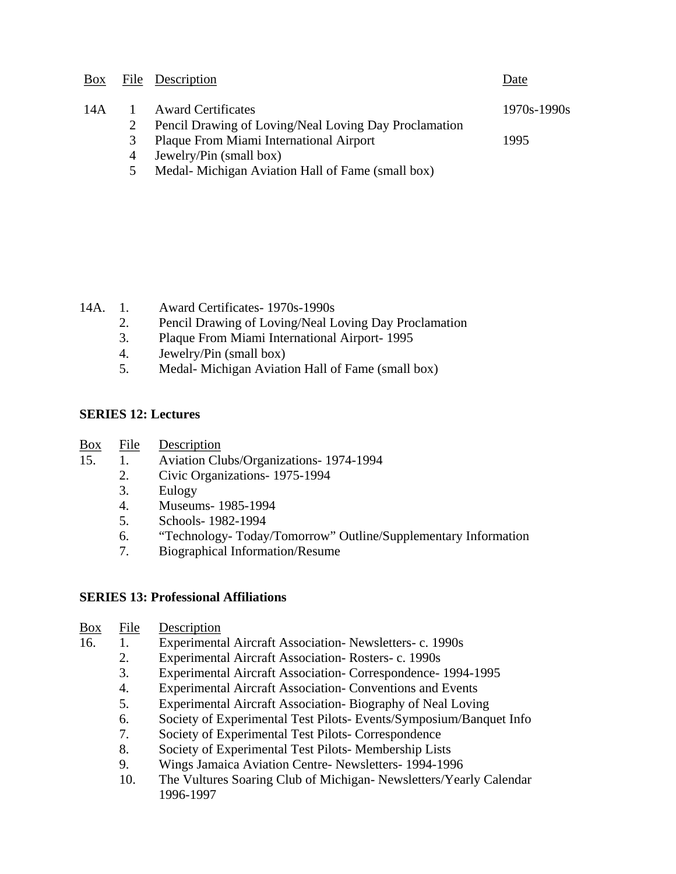|       |   | Box File Description                                  | Date            |
|-------|---|-------------------------------------------------------|-----------------|
| 14A 1 |   | <b>Award Certificates</b>                             | $1970s - 1990s$ |
|       |   | Pencil Drawing of Loving/Neal Loving Day Proclamation |                 |
|       | 3 | Plaque From Miami International Airport               | 1995            |
|       | 4 | Jewelry/Pin (small box)                               |                 |
|       |   |                                                       |                 |

5 Medal- Michigan Aviation Hall of Fame (small box)

14A. 1. Award Certificates- 1970s-1990s

- 2. Pencil Drawing of Loving/Neal Loving Day Proclamation
- 3. Plaque From Miami International Airport- 1995
- 4. Jewelry/Pin (small box)
- 5. Medal- Michigan Aviation Hall of Fame (small box)

## **SERIES 12: Lectures**

- Box File Description
- 15. 1. Aviation Clubs/Organizations- 1974-1994
	- 2. Civic Organizations- 1975-1994
	- 3. Eulogy
	- 4. Museums- 1985-1994
	- 5. Schools- 1982-1994
	- 6. "Technology- Today/Tomorrow" Outline/Supplementary Information
	- 7. Biographical Information/Resume

## **SERIES 13: Professional Affiliations**

| <b>Box</b> | File | Description |
|------------|------|-------------|
|            |      |             |

- 16. 1. Experimental Aircraft Association- Newsletters- c. 1990s
	- 2. Experimental Aircraft Association- Rosters- c. 1990s
	- 3. Experimental Aircraft Association- Correspondence- 1994-1995
	- 4. Experimental Aircraft Association- Conventions and Events
	- 5. Experimental Aircraft Association- Biography of Neal Loving
	- 6. Society of Experimental Test Pilots- Events/Symposium/Banquet Info
	- 7. Society of Experimental Test Pilots- Correspondence
	- 8. Society of Experimental Test Pilots- Membership Lists
	- 9. Wings Jamaica Aviation Centre- Newsletters- 1994-1996
	- 10. The Vultures Soaring Club of Michigan- Newsletters/Yearly Calendar 1996-1997